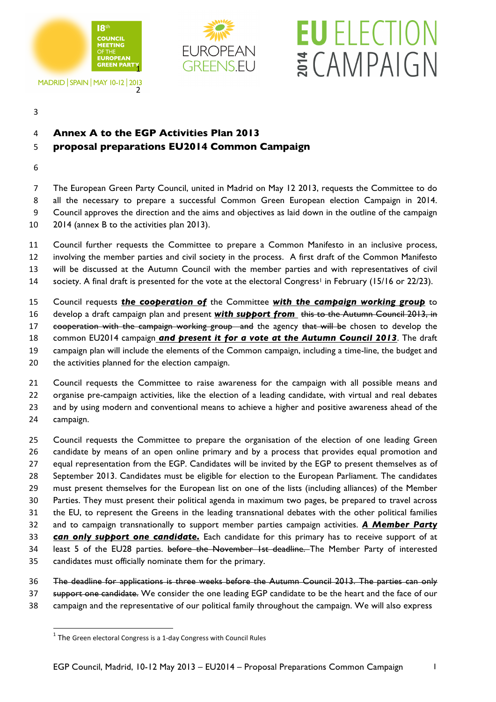

**MADRID | SPAIN | MAY 10-12 | 2013** 



## **EU** ELECTION ECAMPAIGN

## **Annex A to the EGP Activities Plan 2013**

## **proposal preparations EU2014 Common Campaign**

 The European Green Party Council, united in Madrid on May 12 2013, requests the Committee to do all the necessary to prepare a successful Common Green European election Campaign in 2014. Council approves the direction and the aims and objectives as laid down in the outline of the campaign 2014 (annex B to the activities plan 2013).

- Council further requests the Committee to prepare a Common Manifesto in an inclusive process, involving the member parties and civil society in the process. A first draft of the Common Manifesto will be discussed at the Autumn Council with the member parties and with representatives of civil 14 society. A final draft is presented for the vote at the electoral Congress<sup>1</sup> in February (15/16 or 22/23).
- 
- Council requests *the cooperation of* the Committee *with the campaign working group* to
- develop a draft campaign plan and present *with support from* this to the Autumn Council 2013, in
- 17 cooperation with the campaign working group and the agency that will be chosen to develop the
- common EU2014 campaign *and present it for a vote at the Autumn Council 2013*. The draft
- campaign plan will include the elements of the Common campaign, including a time-line, the budget and
- the activities planned for the election campaign.

 Council requests the Committee to raise awareness for the campaign with all possible means and organise pre-campaign activities, like the election of a leading candidate, with virtual and real debates and by using modern and conventional means to achieve a higher and positive awareness ahead of the

campaign.

 Council requests the Committee to prepare the organisation of the election of one leading Green candidate by means of an open online primary and by a process that provides equal promotion and equal representation from the EGP. Candidates will be invited by the EGP to present themselves as of September 2013. Candidates must be eligible for election to the European Parliament. The candidates must present themselves for the European list on one of the lists (including alliances) of the Member Parties. They must present their political agenda in maximum two pages, be prepared to travel across the EU, to represent the Greens in the leading transnational debates with the other political families and to campaign transnationally to support member parties campaign activities. *A Member Party can only support one candidate.* Each candidate for this primary has to receive support of at 34 least 5 of the EU28 parties. before the November 1st deadline. The Member Party of interested candidates must officially nominate them for the primary.

- The deadline for applications is three weeks before the Autumn Council 2013. The parties can only 37 support one candidate. We consider the one leading EGP candidate to be the heart and the face of our
- campaign and the representative of our political family throughout the campaign. We will also express

<u> 1989 - Jan Samuel Barbara, margaret e</u>

The Green electoral Congress is a 1-day Congress with Council Rules